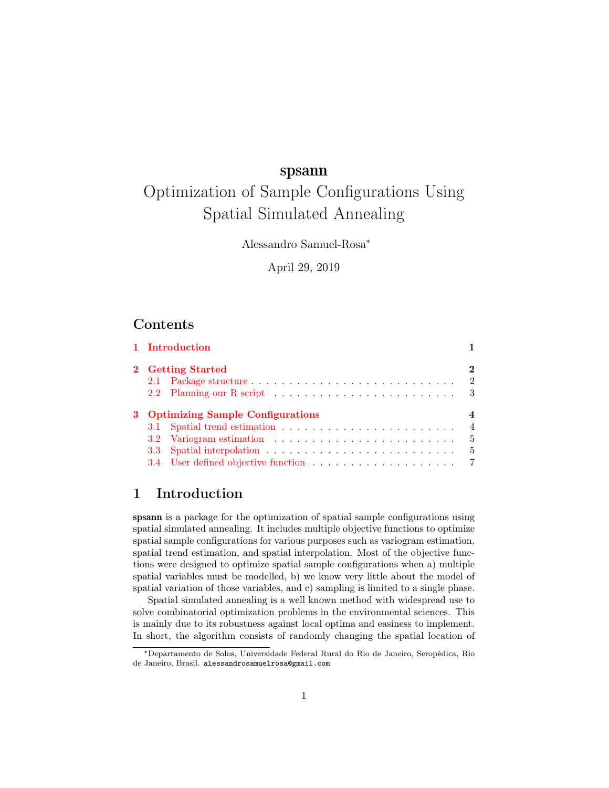# spsann

# Optimization of Sample Configurations Using Spatial Simulated Annealing

Alessandro Samuel-Rosa<sup>∗</sup>

April 29, 2019

# Contents

|  |                                         | 1 Introduction |                |  |
|--|-----------------------------------------|----------------|----------------|--|
|  | 2 Getting Started                       |                |                |  |
|  |                                         |                |                |  |
|  |                                         |                |                |  |
|  | 3 Optimizing Sample Configurations<br>4 |                |                |  |
|  |                                         |                | $\overline{4}$ |  |
|  |                                         |                | - 5            |  |
|  |                                         |                | - 5            |  |
|  |                                         |                |                |  |

# <span id="page-0-0"></span>1 Introduction

spsann is a package for the optimization of spatial sample configurations using spatial simulated annealing. It includes multiple objective functions to optimize spatial sample configurations for various purposes such as variogram estimation, spatial trend estimation, and spatial interpolation. Most of the objective functions were designed to optimize spatial sample configurations when a) multiple spatial variables must be modelled, b) we know very little about the model of spatial variation of those variables, and c) sampling is limited to a single phase.

Spatial simulated annealing is a well known method with widespread use to solve combinatorial optimization problems in the environmental sciences. This is mainly due to its robustness against local optima and easiness to implement. In short, the algorithm consists of randomly changing the spatial location of

<sup>∗</sup>Departamento de Solos, Universidade Federal Rural do Rio de Janeiro, Seropédica, Rio de Janeiro, Brasil. alessandrosamuelrosa@gmail.com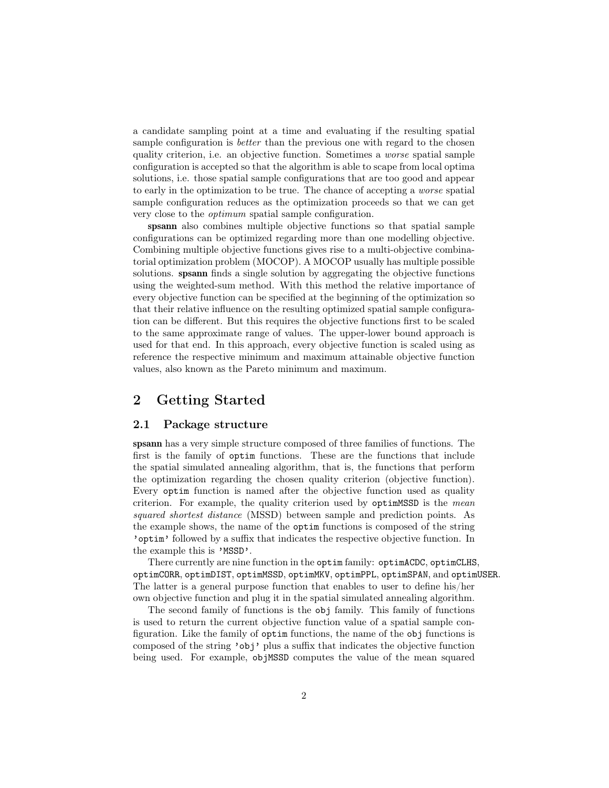a candidate sampling point at a time and evaluating if the resulting spatial sample configuration is *better* than the previous one with regard to the chosen quality criterion, i.e. an objective function. Sometimes a worse spatial sample configuration is accepted so that the algorithm is able to scape from local optima solutions, i.e. those spatial sample configurations that are too good and appear to early in the optimization to be true. The chance of accepting a worse spatial sample configuration reduces as the optimization proceeds so that we can get very close to the optimum spatial sample configuration.

spsann also combines multiple objective functions so that spatial sample configurations can be optimized regarding more than one modelling objective. Combining multiple objective functions gives rise to a multi-objective combinatorial optimization problem (MOCOP). A MOCOP usually has multiple possible solutions. spsann finds a single solution by aggregating the objective functions using the weighted-sum method. With this method the relative importance of every objective function can be specified at the beginning of the optimization so that their relative influence on the resulting optimized spatial sample configuration can be different. But this requires the objective functions first to be scaled to the same approximate range of values. The upper-lower bound approach is used for that end. In this approach, every objective function is scaled using as reference the respective minimum and maximum attainable objective function values, also known as the Pareto minimum and maximum.

# <span id="page-1-0"></span>2 Getting Started

#### <span id="page-1-1"></span>2.1 Package structure

spsann has a very simple structure composed of three families of functions. The first is the family of optim functions. These are the functions that include the spatial simulated annealing algorithm, that is, the functions that perform the optimization regarding the chosen quality criterion (objective function). Every optim function is named after the objective function used as quality criterion. For example, the quality criterion used by optimMSSD is the mean squared shortest distance (MSSD) between sample and prediction points. As the example shows, the name of the optim functions is composed of the string 'optim' followed by a suffix that indicates the respective objective function. In the example this is 'MSSD'.

There currently are nine function in the optim family: optimACDC, optimCLHS, optimCORR, optimDIST, optimMSSD, optimMKV, optimPPL, optimSPAN, and optimUSER. The latter is a general purpose function that enables to user to define his/her own objective function and plug it in the spatial simulated annealing algorithm.

The second family of functions is the obj family. This family of functions is used to return the current objective function value of a spatial sample configuration. Like the family of optim functions, the name of the obj functions is composed of the string 'obj' plus a suffix that indicates the objective function being used. For example, objMSSD computes the value of the mean squared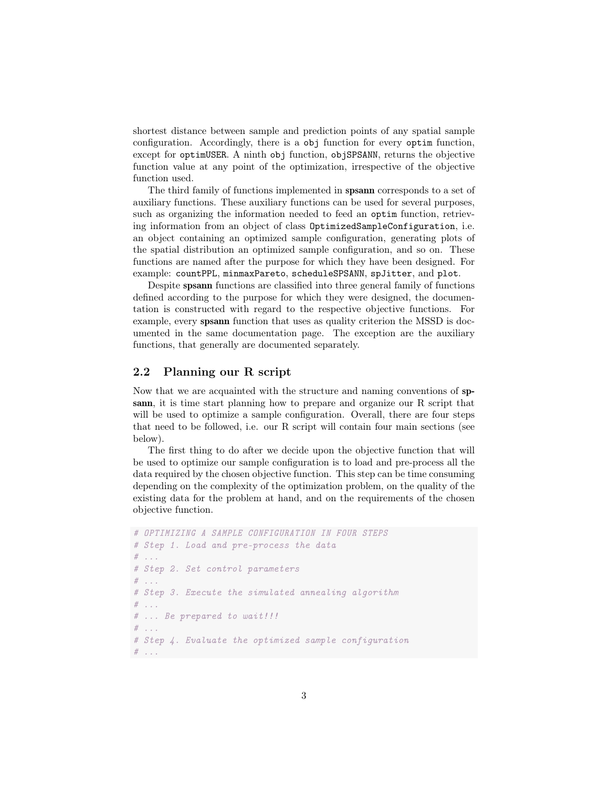shortest distance between sample and prediction points of any spatial sample configuration. Accordingly, there is a obj function for every optim function, except for optimUSER. A ninth obj function, objSPSANN, returns the objective function value at any point of the optimization, irrespective of the objective function used.

The third family of functions implemented in spsann corresponds to a set of auxiliary functions. These auxiliary functions can be used for several purposes, such as organizing the information needed to feed an optim function, retrieving information from an object of class OptimizedSampleConfiguration, i.e. an object containing an optimized sample configuration, generating plots of the spatial distribution an optimized sample configuration, and so on. These functions are named after the purpose for which they have been designed. For example: countPPL, minmaxPareto, scheduleSPSANN, spJitter, and plot.

Despite spsann functions are classified into three general family of functions defined according to the purpose for which they were designed, the documentation is constructed with regard to the respective objective functions. For example, every spsann function that uses as quality criterion the MSSD is documented in the same documentation page. The exception are the auxiliary functions, that generally are documented separately.

## <span id="page-2-0"></span>2.2 Planning our R script

Now that we are acquainted with the structure and naming conventions of spsann, it is time start planning how to prepare and organize our R script that will be used to optimize a sample configuration. Overall, there are four steps that need to be followed, i.e. our R script will contain four main sections (see below).

The first thing to do after we decide upon the objective function that will be used to optimize our sample configuration is to load and pre-process all the data required by the chosen objective function. This step can be time consuming depending on the complexity of the optimization problem, on the quality of the existing data for the problem at hand, and on the requirements of the chosen objective function.

```
# OPTIMIZING A SAMPLE CONFIGURATION IN FOUR STEPS
# Step 1. Load and pre-process the data
# ...
# Step 2. Set control parameters
\# ...
# Step 3. Execute the simulated annealing algorithm
\# . . .
# ... Be prepared to wait!!!
# ...
# Step 4. Evaluate the optimized sample configuration
# ...
```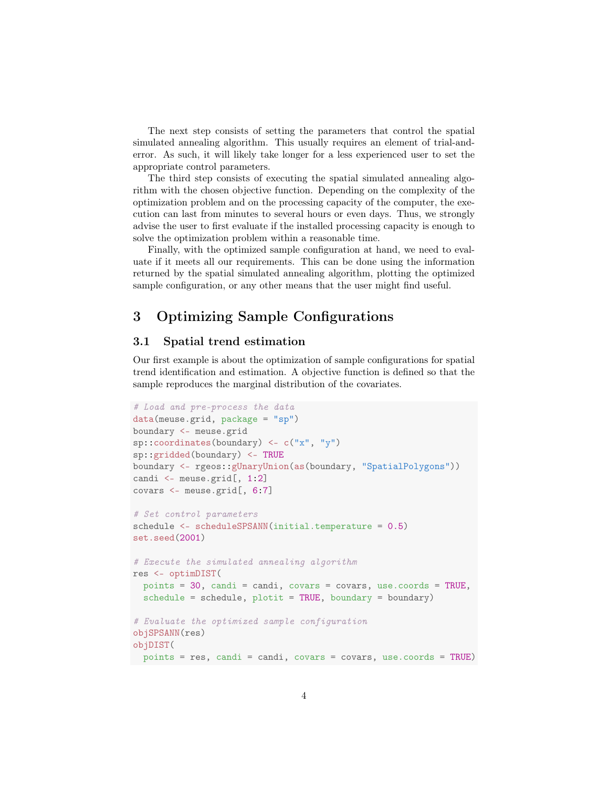The next step consists of setting the parameters that control the spatial simulated annealing algorithm. This usually requires an element of trial-anderror. As such, it will likely take longer for a less experienced user to set the appropriate control parameters.

The third step consists of executing the spatial simulated annealing algorithm with the chosen objective function. Depending on the complexity of the optimization problem and on the processing capacity of the computer, the execution can last from minutes to several hours or even days. Thus, we strongly advise the user to first evaluate if the installed processing capacity is enough to solve the optimization problem within a reasonable time.

Finally, with the optimized sample configuration at hand, we need to evaluate if it meets all our requirements. This can be done using the information returned by the spatial simulated annealing algorithm, plotting the optimized sample configuration, or any other means that the user might find useful.

## <span id="page-3-0"></span>3 Optimizing Sample Configurations

## <span id="page-3-1"></span>3.1 Spatial trend estimation

Our first example is about the optimization of sample configurations for spatial trend identification and estimation. A objective function is defined so that the sample reproduces the marginal distribution of the covariates.

```
# Load and pre-process the data
data(meuse.grid, package = "sp")
boundary <- meuse.grid
sp::coordinates(boundary) <- c("x", "y")
sp::gridded(boundary) <- TRUE
boundary <- rgeos::gUnaryUnion(as(boundary, "SpatialPolygons"))
candi <- meuse.grid[, 1:2]
covars <- meuse.grid[, 6:7]
# Set control parameters
schedule <- scheduleSPSANN(initial.temperature = 0.5)
set.seed(2001)
# Execute the simulated annealing algorithm
res <- optimDIST(
 points = 30, candi = candi, covars = covars, use.coords = TRUE,
  schedule = schedule, plotit = TRUE, boundary = boundary)
# Evaluate the optimized sample configuration
objSPSANN(res)
objDIST(
points = res, candi = candi, covars = covars, use.coords = TRUE)
```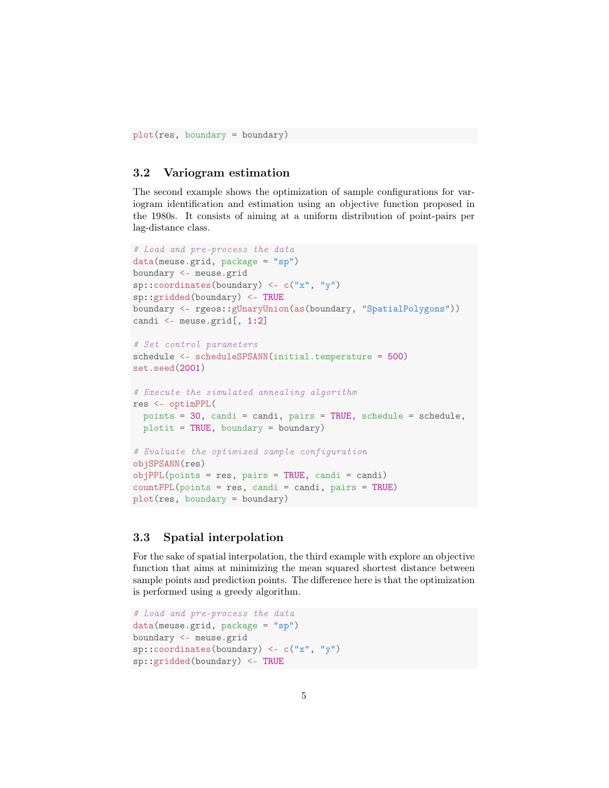plot(res, boundary = boundary)

## <span id="page-4-0"></span>3.2 Variogram estimation

The second example shows the optimization of sample configurations for variogram identification and estimation using an objective function proposed in the 1980s. It consists of aiming at a uniform distribution of point-pairs per lag-distance class.

```
# Load and pre-process the data
data(meuse.grid, package = "sp")
boundary <- meuse.grid
sp::coordinates(boundary) <- c("x", "y")
sp::gridded(boundary) <- TRUE
boundary <- rgeos::gUnaryUnion(as(boundary, "SpatialPolygons"))
candi <- meuse.grid[, 1:2]
# Set control parameters
schedule <- scheduleSPSANN(initial.temperature = 500)
set.seed(2001)
# Execute the simulated annealing algorithm
res <- optimPPL(
 points = 30, candi = candi, pairs = TRUE, schedule = schedule,
 plotit = TRUE, boundary = boundary)# Evaluate the optimized sample configuration
objSPSANN(res)
objPPL(points = res, pairs = TRUE, candi = candi)countPPL(points = res, candi = candi, pairs = TRUE)
plot(res, boundary = boundary)
```
## <span id="page-4-1"></span>3.3 Spatial interpolation

For the sake of spatial interpolation, the third example with explore an objective function that aims at minimizing the mean squared shortest distance between sample points and prediction points. The difference here is that the optimization is performed using a greedy algorithm.

```
# Load and pre-process the data
data(meuse.grid, package = "sp")
boundary <- meuse.grid
sp::coordinates(boundary) <- c("x", "y")
sp::gridded(boundary) <- TRUE
```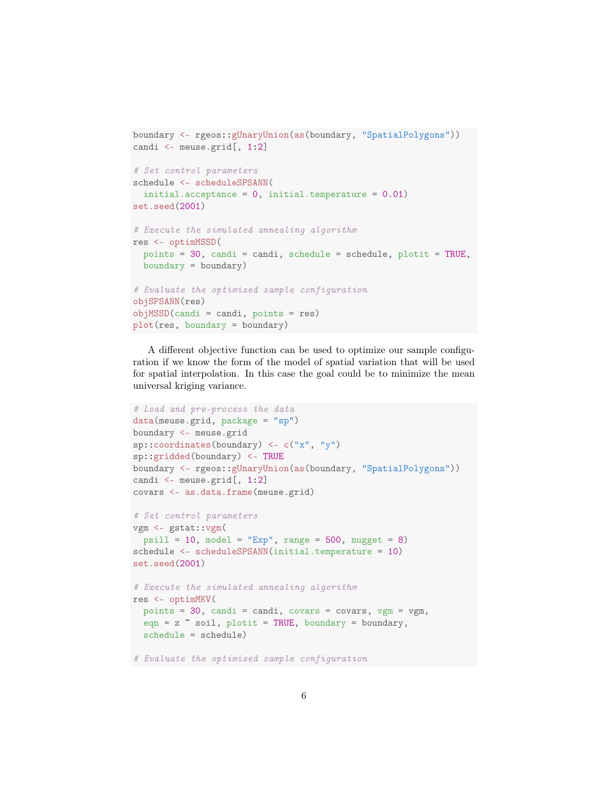```
boundary <- rgeos::gUnaryUnion(as(boundary, "SpatialPolygons"))
candi <- meuse.grid[, 1:2]
# Set control parameters
schedule <- scheduleSPSANN(
  initial.acceptance = 0, initial.temperature = 0.01)
set.seed(2001)
# Execute the simulated annealing algorithm
res <- optimMSSD(
 points = 30, candi = candi, schedule = schedule, plotit = TRUE,
 boundary = boundary)# Evaluate the optimized sample configuration
objSPSANN(res)
objMSSD(candi = candi, points = res)plot(res, boundary = boundary)
```
A different objective function can be used to optimize our sample configuration if we know the form of the model of spatial variation that will be used for spatial interpolation. In this case the goal could be to minimize the mean universal kriging variance.

```
# Load and pre-process the data
data(meuse.grid, package = "sp")
boundary <- meuse.grid
sp::coordinates(boundary) < -c("x", "y")sp::gridded(boundary) <- TRUE
boundary <- rgeos::gUnaryUnion(as(boundary, "SpatialPolygons"))
candi <- meuse.grid[, 1:2]
covars <- as.data.frame(meuse.grid)
# Set control parameters
vgm <- gstat::vgm(
 psill = 10, model = "Exp", range = 500, nugget = 8)
schedule <- scheduleSPSANN(initial.temperature = 10)
set.seed(2001)
# Execute the simulated annealing algorithm
res <- optimMKV(
 points = 30, candi = candi, covars = covars, vgm = vgm,
 eqn = z \tilde{ } soil, plotit = TRUE, boundary = boundary,
 schedule = schedule)
# Evaluate the optimized sample configuration
```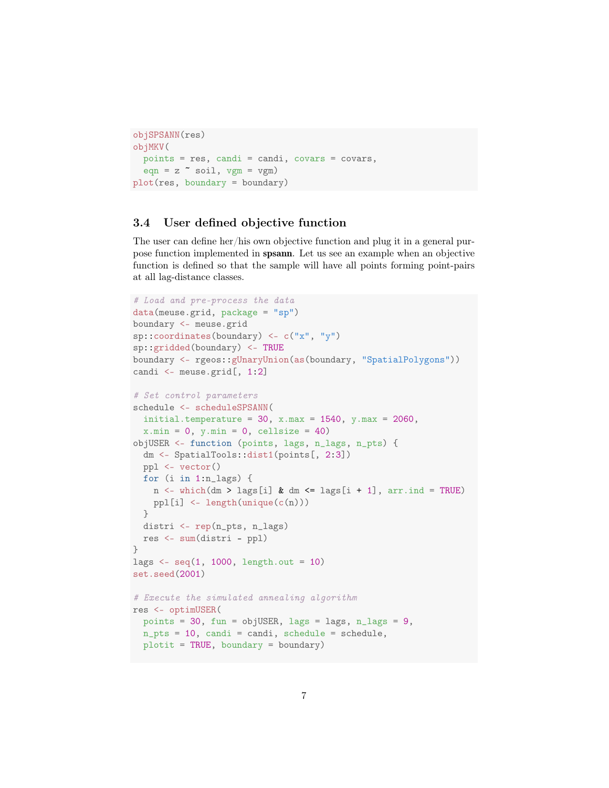```
objSPSANN(res)
objMKV(
 points = res, candi = candi, covars = covars,
 eqn = z \sim soil, vgm = vgm)
plot(res, boundary = boundary)
```
## <span id="page-6-0"></span>3.4 User defined objective function

The user can define her/his own objective function and plug it in a general purpose function implemented in spsann. Let us see an example when an objective function is defined so that the sample will have all points forming point-pairs at all lag-distance classes.

```
# Load and pre-process the data
data(meuse.grid, package = "sp")
boundary <- meuse.grid
sp::coordinates(boundary) < -c("x", "y")sp::gridded(boundary) <- TRUE
boundary <- rgeos::gUnaryUnion(as(boundary, "SpatialPolygons"))
candi <- meuse.grid[, 1:2]
# Set control parameters
schedule <- scheduleSPSANN(
  initial.temperature = 30, x.max = 1540, y.max = 2060,
 x.min = 0, y.min = 0, cell size = 40)objUSER <- function (points, lags, n_lags, n_pts) {
 dm <- SpatialTools::dist1(points[, 2:3])
 ppl <- vector()
 for (i in 1:n_lags) {
   n \leq which(dm > lags[i] & dm \leq lags[i + 1], arr.ind = TRUE)
   ppl[i] <- length(unique(c(n)))
 }
 distri <- rep(n_pts, n_lags)
 res <- sum(distri - ppl)
}
lags \leq seq(1, 1000, length.out = 10)
set.seed(2001)
# Execute the simulated annealing algorithm
res <- optimUSER(
 points = 30, fun = objUSER, lags = lags, n_lags = 9,
 n_pts = 10, candi = candi, schedule = schedule,
 plotit = TRUE, boundary = boundary)
```